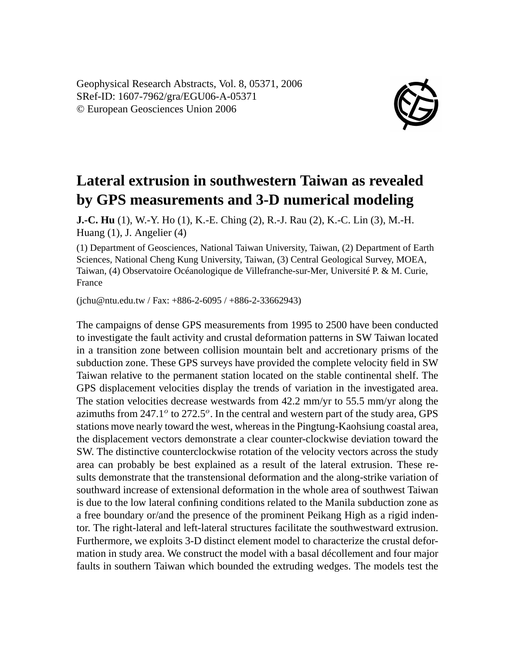Geophysical Research Abstracts, Vol. 8, 05371, 2006 SRef-ID: 1607-7962/gra/EGU06-A-05371 © European Geosciences Union 2006



## **Lateral extrusion in southwestern Taiwan as revealed by GPS measurements and 3-D numerical modeling**

**J.-C. Hu** (1), W.-Y. Ho (1), K.-E. Ching (2), R.-J. Rau (2), K.-C. Lin (3), M.-H. Huang (1), J. Angelier (4)

(1) Department of Geosciences, National Taiwan University, Taiwan, (2) Department of Earth Sciences, National Cheng Kung University, Taiwan, (3) Central Geological Survey, MOEA, Taiwan, (4) Observatoire Océanologique de Villefranche-sur-Mer, Université P. & M. Curie, France

 $(ichu@ntu.edu.tw / Fax: +886-2-6095 / +886-2-33662943)$ 

The campaigns of dense GPS measurements from 1995 to 2500 have been conducted to investigate the fault activity and crustal deformation patterns in SW Taiwan located in a transition zone between collision mountain belt and accretionary prisms of the subduction zone. These GPS surveys have provided the complete velocity field in SW Taiwan relative to the permanent station located on the stable continental shelf. The GPS displacement velocities display the trends of variation in the investigated area. The station velocities decrease westwards from 42.2 mm/yr to 55.5 mm/yr along the azimuths from  $247.1^{\circ}$  to  $272.5^{\circ}$ . In the central and western part of the study area, GPS stations move nearly toward the west, whereas in the Pingtung-Kaohsiung coastal area, the displacement vectors demonstrate a clear counter-clockwise deviation toward the SW. The distinctive counterclockwise rotation of the velocity vectors across the study area can probably be best explained as a result of the lateral extrusion. These results demonstrate that the transtensional deformation and the along-strike variation of southward increase of extensional deformation in the whole area of southwest Taiwan is due to the low lateral confining conditions related to the Manila subduction zone as a free boundary or/and the presence of the prominent Peikang High as a rigid indentor. The right-lateral and left-lateral structures facilitate the southwestward extrusion. Furthermore, we exploits 3-D distinct element model to characterize the crustal deformation in study area. We construct the model with a basal décollement and four major faults in southern Taiwan which bounded the extruding wedges. The models test the